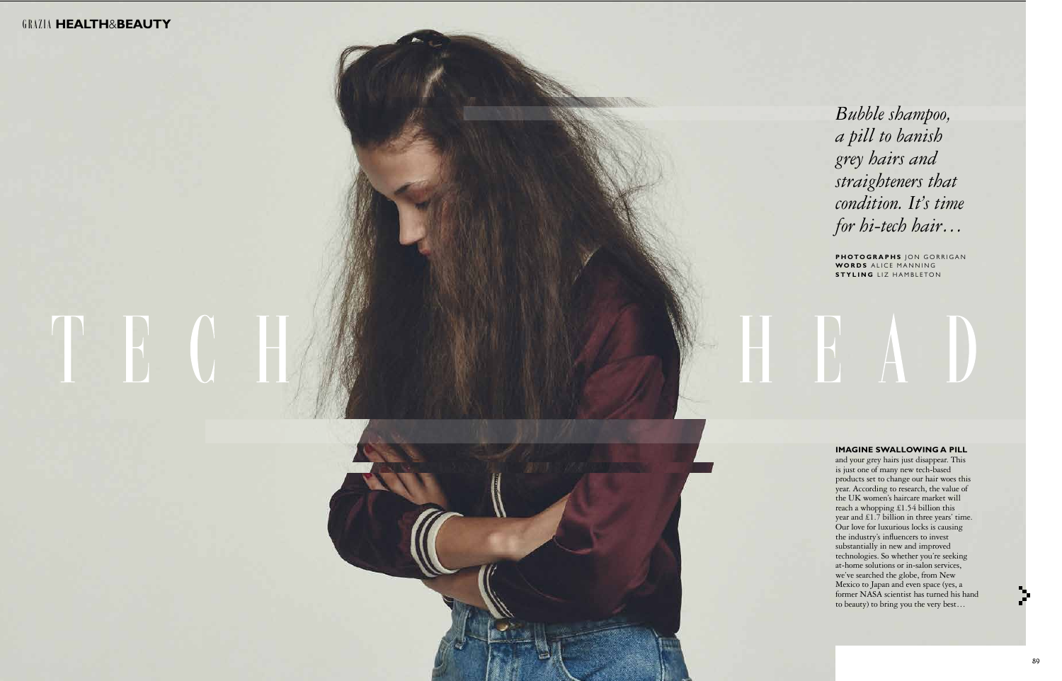and your grey hairs just disappear. This is just one of many new tech-based products set to change our hair woes this year. According to research, the value of the UK women's haircare market will reach a whopping £1.54 billion this year and £1.7 billion in three years' time. Our love for luxurious locks is causing the industry's influencers to invest substantially in new and improved technologies. So whether you're seeking at-home solutions or in-salon services, we've searched the globe, from New Mexico to Japan and even space (yes, a former NASA scientist has turned his hand to beauty) to bring you the very best…

## GRAZIA **health** &**beauty**

# TH G

*Bubble shampoo, a pill to banish grey hairs and straighteners that condition. It's time for hi-tech hair…*

**photographs** jon gorrigan **WORDS** ALICE MANNING **styl i ng** liz hambleton

HBAD

### **IMAGINE SWALLOWING A PILL**